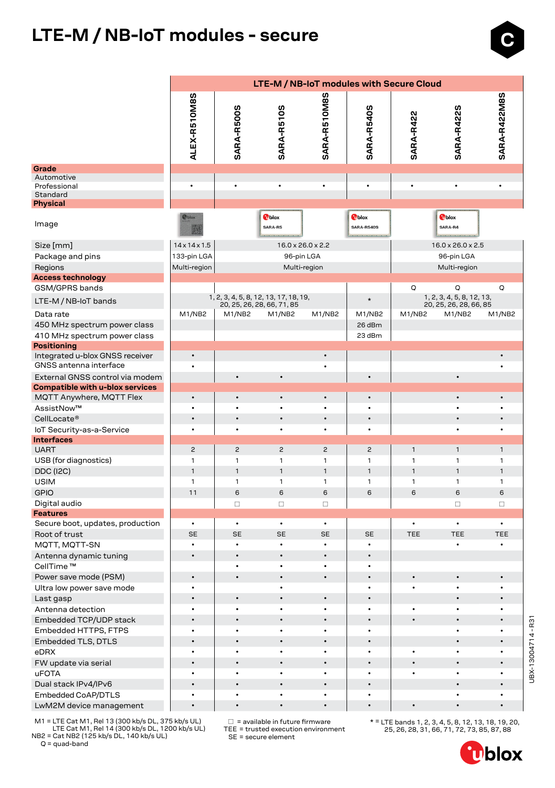## **LTE-M / NB-IoT modules - secure**

|                                                           | LTE-M / NB-IoT modules with Secure Cloud |                        |                                                                     |                                |                                    |              |                                                     |                   |  |  |  |  |  |
|-----------------------------------------------------------|------------------------------------------|------------------------|---------------------------------------------------------------------|--------------------------------|------------------------------------|--------------|-----------------------------------------------------|-------------------|--|--|--|--|--|
|                                                           | n                                        |                        |                                                                     |                                |                                    |              |                                                     |                   |  |  |  |  |  |
|                                                           | ALEX-R510M8                              | SARA-R500S             | <b>SARA-R510S</b>                                                   | SARA-R510M8S                   | SARA-R540S                         | SARA-R422    | SARA-R422S                                          | SARA-R422M8S      |  |  |  |  |  |
| Grade                                                     |                                          |                        |                                                                     |                                |                                    |              |                                                     |                   |  |  |  |  |  |
| Automotive<br>Professional                                | $\bullet$                                | $\bullet$              | ٠                                                                   | $\bullet$                      | $\bullet$                          | $\bullet$    | $\bullet$                                           | ٠                 |  |  |  |  |  |
| Standard                                                  |                                          |                        |                                                                     |                                |                                    |              |                                                     |                   |  |  |  |  |  |
| <b>Physical</b>                                           |                                          |                        |                                                                     |                                |                                    |              |                                                     |                   |  |  |  |  |  |
| Image                                                     | <b>P</b> blox                            |                        | <b>T</b> blox<br>SARA-R5                                            |                                | <b>O</b> blox<br><b>SARA-R540S</b> |              | <b>T</b> blox<br>SARA-R4                            |                   |  |  |  |  |  |
| Size [mm]                                                 | $14 \times 14 \times 1.5$                |                        | $16.0 \times 26.0 \times 2.2$                                       |                                |                                    |              | $16.0 \times 26.0 \times 2.5$                       |                   |  |  |  |  |  |
| Package and pins                                          | 133-pin LGA                              |                        | 96-pin LGA                                                          |                                |                                    |              | 96-pin LGA                                          |                   |  |  |  |  |  |
| Regions                                                   | Multi-region                             |                        | Multi-region                                                        |                                |                                    |              | Multi-region                                        |                   |  |  |  |  |  |
| <b>Access technology</b>                                  |                                          |                        |                                                                     |                                |                                    |              |                                                     |                   |  |  |  |  |  |
| GSM/GPRS bands                                            |                                          |                        |                                                                     |                                |                                    | Q            | Q                                                   | Q                 |  |  |  |  |  |
| LTE-M / NB-IoT bands                                      |                                          |                        | 1, 2, 3, 4, 5, 8, 12, 13, 17, 18, 19,<br>20, 25, 26, 28, 66, 71, 85 |                                | $\star$                            |              | 1, 2, 3, 4, 5, 8, 12, 13,<br>20, 25, 26, 28, 66, 85 |                   |  |  |  |  |  |
| Data rate                                                 | M1/NB2                                   | M1/NB2                 | M1/NB2                                                              | M1/NB2                         | M1/NB2                             | M1/NB2       | M1/NB2                                              | M1/NB2            |  |  |  |  |  |
| 450 MHz spectrum power class                              |                                          |                        |                                                                     |                                | 26 dBm                             |              |                                                     |                   |  |  |  |  |  |
| 410 MHz spectrum power class                              |                                          |                        |                                                                     |                                | 23 dBm                             |              |                                                     |                   |  |  |  |  |  |
| <b>Positioning</b>                                        |                                          |                        |                                                                     |                                |                                    |              |                                                     |                   |  |  |  |  |  |
| Integrated u-blox GNSS receiver<br>GNSS antenna interface | $\bullet$                                |                        |                                                                     | $\bullet$<br>$\bullet$         |                                    |              |                                                     | $\bullet$<br>٠    |  |  |  |  |  |
| External GNSS control via modem                           |                                          |                        | $\bullet$                                                           |                                | $\bullet$                          |              | $\bullet$                                           |                   |  |  |  |  |  |
| Compatible with u-blox services                           |                                          |                        |                                                                     |                                |                                    |              |                                                     |                   |  |  |  |  |  |
| MQTT Anywhere, MQTT Flex                                  | $\bullet$                                | $\bullet$              | $\bullet$                                                           | $\bullet$                      | $\bullet$                          |              | $\bullet$                                           | $\bullet$         |  |  |  |  |  |
| AssistNow™                                                | $\bullet$                                | ٠                      |                                                                     | $\bullet$                      |                                    |              |                                                     |                   |  |  |  |  |  |
| CellLocate <sup>®</sup>                                   | $\bullet$                                | $\bullet$              |                                                                     | $\bullet$                      | $\bullet$                          |              | $\bullet$                                           | $\bullet$         |  |  |  |  |  |
| IoT Security-as-a-Service                                 | $\bullet$                                | $\bullet$              | $\bullet$                                                           | $\bullet$                      | $\bullet$                          |              |                                                     | $\bullet$         |  |  |  |  |  |
| <b>Interfaces</b>                                         |                                          |                        |                                                                     |                                |                                    |              |                                                     |                   |  |  |  |  |  |
| <b>UART</b>                                               | $\overline{c}$                           | $\overline{c}$         | $\overline{c}$                                                      | $\overline{c}$                 | $\overline{c}$                     | $\mathbf{1}$ | $\mathbf{1}$                                        | $\mathbf{1}$      |  |  |  |  |  |
| USB (for diagnostics)                                     | $\mathbf{1}$                             | $\mathbf{1}$           | 1                                                                   | $\mathbf{1}$                   | $\mathbf{1}$                       | 1            | $\mathbf{1}$                                        | $\mathbf{1}$      |  |  |  |  |  |
| <b>DDC (I2C)</b>                                          | $\mathbf{1}$                             | 1                      | $\mathbf{1}$                                                        | $\mathbf{1}$                   | $\mathbf{1}$                       | $\mathbf{1}$ | $\mathbf{1}$                                        | $\mathbf{1}$      |  |  |  |  |  |
| <b>USIM</b><br><b>GPIO</b>                                | $\mathbf{1}$<br>11                       | $\mathbf{1}$<br>6      | $\mathbf{1}$<br>6                                                   | $\mathbf{1}$<br>$6\phantom{1}$ | 1<br>6                             | 1<br>6       | $\mathbf{1}$<br>6                                   | $\mathbf{1}$<br>6 |  |  |  |  |  |
|                                                           |                                          |                        |                                                                     |                                |                                    |              |                                                     |                   |  |  |  |  |  |
| Digital audio<br><b>Features</b>                          |                                          | $\Box$                 | $\Box$                                                              | $\Box$                         |                                    |              | $\Box$                                              | $\Box$            |  |  |  |  |  |
| Secure boot, updates, production                          | $\bullet$                                | $\bullet$              | $\bullet$                                                           | $\bullet$                      |                                    |              | $\bullet$                                           | $\bullet$         |  |  |  |  |  |
| Root of trust                                             | <b>SE</b>                                | <b>SE</b>              | <b>SE</b>                                                           | <b>SE</b>                      | <b>SE</b>                          | <b>TEE</b>   | <b>TEE</b>                                          | <b>TEE</b>        |  |  |  |  |  |
| MQTT, MQTT-SN                                             |                                          | $\bullet$              | $\bullet$                                                           |                                | $\bullet$                          |              | $\bullet$                                           | $\bullet$         |  |  |  |  |  |
| Antenna dynamic tuning                                    | $\bullet$                                |                        | $\bullet$                                                           | $\bullet$                      | $\bullet$                          |              |                                                     |                   |  |  |  |  |  |
| CellTime <sup>™</sup>                                     |                                          | $\bullet$              |                                                                     | $\bullet$                      | $\bullet$                          |              |                                                     |                   |  |  |  |  |  |
| Power save mode (PSM)                                     | $\bullet$                                | $\bullet$              | $\bullet$                                                           | $\bullet$                      | $\bullet$                          | $\bullet$    |                                                     | $\bullet$         |  |  |  |  |  |
| Ultra low power save mode                                 | $\bullet$                                |                        | $\bullet$                                                           |                                | $\bullet$                          | $\bullet$    |                                                     | $\bullet$         |  |  |  |  |  |
| Last gasp                                                 | $\bullet$                                | $\bullet$              | $\bullet$                                                           | $\bullet$                      | $\bullet$                          |              | $\bullet$                                           |                   |  |  |  |  |  |
| Antenna detection                                         | $\bullet$                                | $\bullet$              | $\bullet$                                                           | $\bullet$                      | $\bullet$                          | ٠            | ٠                                                   | ٠                 |  |  |  |  |  |
| Embedded TCP/UDP stack                                    | $\bullet$                                | $\bullet$              | $\bullet$                                                           | $\bullet$                      | $\bullet$                          | $\bullet$    | $\bullet$                                           | ٠                 |  |  |  |  |  |
| Embedded HTTPS, FTPS                                      | $\bullet$                                | $\bullet$              | $\bullet$                                                           | $\bullet$                      | $\bullet$                          |              | $\bullet$                                           | $\bullet$         |  |  |  |  |  |
| <b>Embedded TLS, DTLS</b>                                 | $\bullet$                                | $\bullet$              | $\bullet$                                                           | $\bullet$                      | $\bullet$                          |              | $\bullet$                                           | $\bullet$         |  |  |  |  |  |
| eDRX                                                      | $\bullet$                                | $\bullet$              | $\bullet$                                                           | $\bullet$                      | $\bullet$                          | $\bullet$    | ٠                                                   | $\bullet$         |  |  |  |  |  |
| FW update via serial                                      | $\bullet$                                | $\bullet$              | $\bullet$                                                           | $\bullet$                      | $\bullet$                          | $\bullet$    | $\bullet$                                           | $\bullet$         |  |  |  |  |  |
| <b>uFOTA</b>                                              | ٠                                        | $\bullet$              | $\bullet$                                                           | $\bullet$                      | $\bullet$                          | $\bullet$    | $\bullet$                                           | ٠                 |  |  |  |  |  |
| Dual stack IPv4/IPv6                                      | $\bullet$                                | $\bullet$              | $\bullet$                                                           | $\bullet$                      | $\bullet$                          |              | $\bullet$                                           | $\bullet$         |  |  |  |  |  |
| Embedded CoAP/DTLS                                        | $\bullet$<br>$\bullet$                   | $\bullet$<br>$\bullet$ | $\bullet$<br>$\bullet$                                              | $\bullet$<br>$\bullet$         | $\bullet$<br>$\bullet$             | $\bullet$    | $\bullet$                                           | ٠                 |  |  |  |  |  |
| LwM2M device management                                   |                                          |                        |                                                                     |                                |                                    |              |                                                     |                   |  |  |  |  |  |

 $\square$  = available in future firmware TEE = trusted execution environment

 M1 = LTE Cat M1, Rel 13 (300 kb/s DL, 375 kb/s UL) LTE Cat M1, Rel 14 (300 kb/s DL, 1200 kb/s UL) NB2 = Cat NB2 (125 kb/s DL, 140 kb/s UL) SE = secure element

 $Q = quad-band$ 

\* = LTE bands 1, 2, 3, 4, 5, 8, 12, 13, 18, 19, 20, 25, 26, 28, 31, 66, 71, 72, 73, 85, 87, 88

UBX-13004714 - R31

UBX-13004714-R31

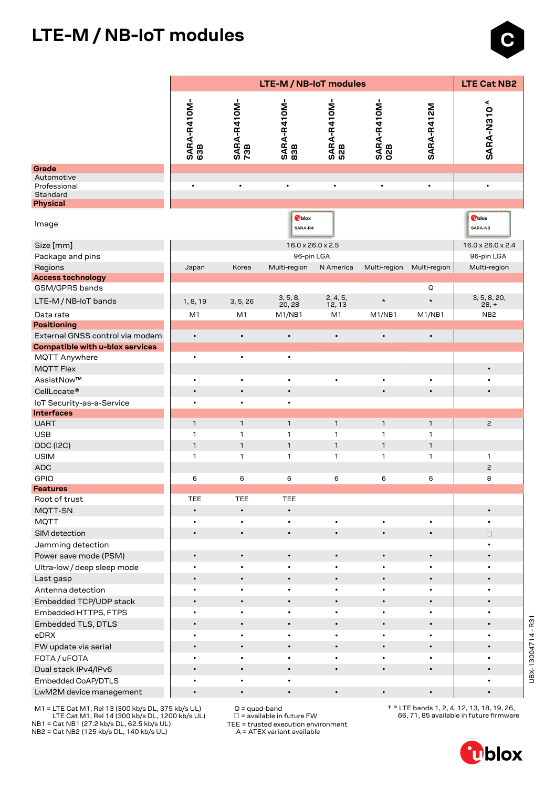## **LTE-M / NB-IoT modules**



 M1 = LTE Cat M1, Rel 13 (300 kb/s DL, 375 kb/s UL) LTE Cat M1, Rel 14 (300 kb/s DL, 1200 kb/s UL) NB1 = Cat NB1 (27.2 kb/s DL, 62.5 kb/s UL)

NB2 = Cat NB2 (125 kb/s DL, 140 kb/s UL)

Q = quad-band

 $\square$  = available in future FW

TEE = trusted execution environment

A = ATEX variant available

+ = LTE bands 1, 2, 4, 12, 13, 18, 19, 26, 66, 71, 85 available in future firmware



 $\bullet$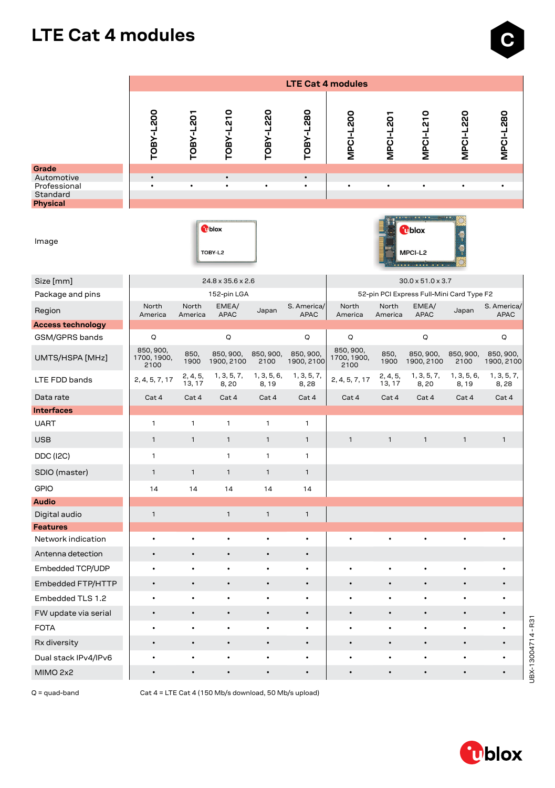### **LTE Cat 4 modules**

|                          | <b>LTE Cat 4 modules</b>         |                    |                          |                      |                            |                                  |                    |                                           |                      |                            |  |  |  |
|--------------------------|----------------------------------|--------------------|--------------------------|----------------------|----------------------------|----------------------------------|--------------------|-------------------------------------------|----------------------|----------------------------|--|--|--|
|                          |                                  |                    |                          |                      |                            |                                  |                    |                                           |                      |                            |  |  |  |
|                          | TOBY-L200                        | TOBY-L201          | TOBY-L210                | TOBY-L220            | TOBY-L280                  | MPCI-L200                        | <b>MPCI-L201</b>   | <b>MPCI-L210</b>                          | MPCI-L220            | MPCI-L280                  |  |  |  |
| Grade<br>Automotive      |                                  |                    |                          |                      | $\bullet$                  |                                  |                    |                                           |                      |                            |  |  |  |
| Professional<br>Standard |                                  |                    |                          |                      | $\bullet$                  |                                  |                    |                                           |                      |                            |  |  |  |
| <b>Physical</b>          |                                  |                    |                          |                      |                            |                                  |                    |                                           |                      |                            |  |  |  |
| Image                    |                                  |                    | <b>T</b> blox<br>TOBY-L2 |                      |                            |                                  |                    | <b>U</b> blox<br>MPCI-L2<br>.             |                      |                            |  |  |  |
| Size [mm]                |                                  |                    | 24.8 x 35.6 x 2.6        |                      |                            |                                  |                    | $30.0 \times 51.0 \times 3.7$             |                      |                            |  |  |  |
| Package and pins         |                                  |                    | 152-pin LGA              |                      |                            |                                  |                    | 52-pin PCI Express Full-Mini Card Type F2 |                      |                            |  |  |  |
| Region                   | North<br>America                 | North<br>America   | EMEA/<br><b>APAC</b>     | Japan                | S. America/<br><b>APAC</b> | North<br>America                 | North<br>America   | EMEA/<br><b>APAC</b>                      | Japan                | S. America/<br><b>APAC</b> |  |  |  |
| <b>Access technology</b> |                                  |                    |                          |                      |                            |                                  |                    |                                           |                      |                            |  |  |  |
| GSM/GPRS bands           | Q                                |                    | Q                        |                      | Q                          | Q                                |                    | Q                                         |                      | Q                          |  |  |  |
| UMTS/HSPA [MHz]          | 850, 900,<br>1700, 1900,<br>2100 | 850,<br>1900       | 850, 900,<br>1900, 2100  | 850, 900,<br>2100    | 850, 900,<br>1900, 2100    | 850, 900,<br>1700, 1900,<br>2100 | 850,<br>1900       | 850, 900,<br>1900, 2100                   | 850, 900,<br>2100    | 850, 900,<br>1900, 2100    |  |  |  |
| LTE FDD bands            | 2, 4, 5, 7, 17                   | 2, 4, 5,<br>13, 17 | 1, 3, 5, 7,<br>8,20      | 1, 3, 5, 6,<br>8, 19 | 1, 3, 5, 7,<br>8,28        | 2, 4, 5, 7, 17                   | 2, 4, 5,<br>13, 17 | 1, 3, 5, 7,<br>8,20                       | 1, 3, 5, 6,<br>8, 19 | 1, 3, 5, 7,<br>8,28        |  |  |  |
| Data rate                | Cat 4                            | Cat 4              | Cat 4                    | Cat 4                | Cat 4                      | Cat 4                            | Cat 4              | Cat 4                                     | Cat 4                | Cat 4                      |  |  |  |
| <b>Interfaces</b>        |                                  |                    |                          |                      |                            |                                  |                    |                                           |                      |                            |  |  |  |
| <b>UART</b>              | 1                                | $\mathbf{1}$       | 1                        | $\mathbf{1}$         | 1                          |                                  |                    |                                           |                      |                            |  |  |  |
| <b>USB</b>               | $\mathbf{1}$                     | $\mathbf{1}$       | $\mathbf{1}$             | $\mathbf{1}$         | $\mathbf{1}$               | $\mathbf{1}$                     | $\mathbf{1}$       | $\mathbf{1}$                              | $\mathbf{1}$         | $\mathbf{1}$               |  |  |  |
| <b>DDC</b> (I2C)         | $\mathbf{1}$                     |                    | 1                        | $\mathbf{1}$         | $\mathbf{1}$               |                                  |                    |                                           |                      |                            |  |  |  |
| SDIO (master)            | $\mathbf{1}$                     | $\mathbf{1}$       | $\mathbf{1}$             | $\mathbf{1}$         | $\mathbf{1}$               |                                  |                    |                                           |                      |                            |  |  |  |
| <b>GPIO</b>              | 14                               | 14                 | 14                       | 14                   | 14                         |                                  |                    |                                           |                      |                            |  |  |  |
| <b>Audio</b>             |                                  |                    |                          |                      |                            |                                  |                    |                                           |                      |                            |  |  |  |
| Digital audio            | $\mathbf{1}$                     |                    | $\mathbf{1}$             | $\mathbf{1}$         | $\mathbf{1}$               |                                  |                    |                                           |                      |                            |  |  |  |
| <b>Features</b>          |                                  |                    |                          |                      |                            |                                  |                    |                                           |                      |                            |  |  |  |
| Network indication       | $\bullet$                        | $\bullet$          |                          |                      | ٠                          |                                  |                    |                                           |                      |                            |  |  |  |
| Antenna detection        | $\bullet$                        | $\bullet$          |                          | $\bullet$            | $\bullet$                  |                                  |                    |                                           |                      |                            |  |  |  |
| Embedded TCP/UDP         |                                  |                    |                          |                      |                            |                                  |                    |                                           |                      |                            |  |  |  |
| Embedded FTP/HTTP        |                                  |                    |                          |                      | $\bullet$                  |                                  |                    |                                           |                      |                            |  |  |  |
| Embedded TLS 1.2         | $\bullet$                        | $\bullet$          | ٠                        | $\bullet$            | $\bullet$                  | ٠                                |                    | $\bullet$                                 |                      |                            |  |  |  |
| FW update via serial     | $\bullet$                        | $\bullet$          | ٠                        | $\bullet$            | $\bullet$                  | ٠                                | $\bullet$          | $\bullet$                                 | $\bullet$            |                            |  |  |  |
| <b>FOTA</b>              | $\bullet$                        | ٠                  | ٠                        | $\bullet$            | $\bullet$                  | ٠                                | ٠                  | $\bullet$                                 | $\bullet$            |                            |  |  |  |
| Rx diversity             | $\bullet$                        | $\bullet$          | $\bullet$                | $\bullet$            | $\bullet$                  |                                  | $\bullet$          | $\bullet$                                 | $\bullet$            |                            |  |  |  |
| Dual stack IPv4/IPv6     |                                  |                    | ٠                        | ٠                    | ٠                          |                                  | ٠                  | $\bullet$                                 | $\bullet$            |                            |  |  |  |
| MIMO 2x2                 | $\bullet$                        | $\bullet$          | $\bullet$                | $\bullet$            | $\bullet$                  |                                  |                    | $\bullet$                                 | $\bullet$            |                            |  |  |  |

Q = quad-band Cat 4 = LTE Cat 4 (150 Mb/s download, 50 Mb/s upload)



UBX-13004714-R31 UBX-13004714 - R31

 $\bullet$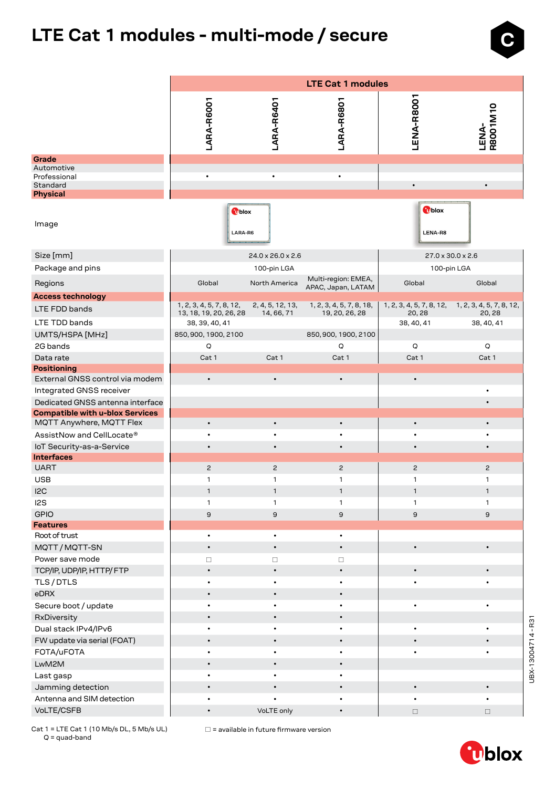# **LTE Cat 1 modules - multi-mode / secure**

|                                                                            | <b>LTE Cat 1 modules</b> |                        |                                           |                         |                                                   |  |  |  |  |  |  |
|----------------------------------------------------------------------------|--------------------------|------------------------|-------------------------------------------|-------------------------|---------------------------------------------------|--|--|--|--|--|--|
|                                                                            |                          |                        |                                           |                         |                                                   |  |  |  |  |  |  |
|                                                                            | LARA-R6001               | LARA-R6401             | LARA-R6801                                | LENA-R8001              | LENA-<br>R8001M10                                 |  |  |  |  |  |  |
| Grade                                                                      |                          |                        |                                           |                         |                                                   |  |  |  |  |  |  |
| Automotive<br>Professional<br>Standard                                     | $\bullet$                | $\bullet$              | $\bullet$                                 | $\bullet$               | $\bullet$                                         |  |  |  |  |  |  |
| <b>Physical</b>                                                            |                          |                        |                                           |                         |                                                   |  |  |  |  |  |  |
| Image                                                                      | Tblox<br>LARA-R6         |                        |                                           | <b>Oblox</b><br>LENA-R8 |                                                   |  |  |  |  |  |  |
| Size [mm]                                                                  |                          | 24.0 x 26.0 x 2.6      |                                           |                         | 27.0 x 30.0 x 2.6                                 |  |  |  |  |  |  |
| Package and pins                                                           |                          | 100-pin LGA            |                                           | 100-pin LGA             |                                                   |  |  |  |  |  |  |
| Regions                                                                    | Global                   | North America          | Multi-region: EMEA,<br>APAC, Japan, LATAM | Global                  | Global                                            |  |  |  |  |  |  |
| <b>Access technology</b>                                                   | 1, 2, 3, 4, 5, 7, 8, 12, | 2, 4, 5, 12, 13,       | 1, 2, 3, 4, 5, 7, 8, 18,                  |                         | 1, 2, 3, 4, 5, 7, 8, 12, 1, 2, 3, 4, 5, 7, 8, 12, |  |  |  |  |  |  |
| LTE FDD bands                                                              | 13, 18, 19, 20, 26, 28   | 14, 66, 71             | 19, 20, 26, 28                            | 20, 28                  | 20, 28                                            |  |  |  |  |  |  |
| LTE TDD bands                                                              | 38, 39, 40, 41           |                        |                                           | 38, 40, 41              | 38, 40, 41                                        |  |  |  |  |  |  |
| UMTS/HSPA [MHz]                                                            | 850, 900, 1900, 2100     |                        | 850, 900, 1900, 2100                      |                         |                                                   |  |  |  |  |  |  |
| 2G bands                                                                   | Q                        |                        | Q                                         | Q                       | Q                                                 |  |  |  |  |  |  |
| Data rate                                                                  | Cat 1                    | Cat 1                  | Cat 1                                     | Cat 1                   | Cat 1                                             |  |  |  |  |  |  |
| <b>Positioning</b>                                                         |                          |                        |                                           |                         |                                                   |  |  |  |  |  |  |
| External GNSS control via modem                                            | $\bullet$                | $\bullet$              | $\bullet$                                 | $\bullet$               |                                                   |  |  |  |  |  |  |
| Integrated GNSS receiver                                                   |                          |                        |                                           |                         | $\bullet$                                         |  |  |  |  |  |  |
| Dedicated GNSS antenna interface<br><b>Compatible with u-blox Services</b> |                          |                        |                                           |                         |                                                   |  |  |  |  |  |  |
| MQTT Anywhere, MQTT Flex                                                   | $\bullet$                | $\bullet$              | $\bullet$                                 |                         | $\bullet$                                         |  |  |  |  |  |  |
| AssistNow and CellLocate®                                                  |                          |                        |                                           |                         |                                                   |  |  |  |  |  |  |
| IoT Security-as-a-Service                                                  | $\bullet$                | $\bullet$              | $\bullet$                                 | $\bullet$               | $\bullet$                                         |  |  |  |  |  |  |
| <b>Interfaces</b>                                                          |                          |                        |                                           |                         |                                                   |  |  |  |  |  |  |
| <b>UART</b>                                                                | $\overline{c}$           | $\overline{c}$         | $\overline{c}$                            | $\mathbf{2}$            | $\overline{c}$                                    |  |  |  |  |  |  |
| <b>USB</b>                                                                 | 1                        | 1                      | 1                                         | 1                       | 1                                                 |  |  |  |  |  |  |
| 12C                                                                        | 1                        | $\mathbf{1}$           | $\mathbf{1}$                              | $\mathbf{1}$            | $\mathbf{1}$                                      |  |  |  |  |  |  |
| l2S                                                                        | 1                        | $\mathbf{1}$           | 1                                         | 1                       | $\mathbf{1}$                                      |  |  |  |  |  |  |
| <b>GPIO</b>                                                                | $\mathsf g$              | $\mathsf g$            | 9                                         | 9                       | $\mathsf g$                                       |  |  |  |  |  |  |
| <b>Features</b>                                                            |                          |                        |                                           |                         |                                                   |  |  |  |  |  |  |
| Root of trust                                                              | $\bullet$<br>$\bullet$   | $\bullet$<br>$\bullet$ | $\bullet$<br>$\bullet$                    | $\bullet$               | $\bullet$                                         |  |  |  |  |  |  |
| MQTT/MQTT-SN<br>Power save mode                                            |                          |                        |                                           |                         |                                                   |  |  |  |  |  |  |
|                                                                            | $\Box$<br>$\bullet$      | $\Box$<br>$\bullet$    | $\Box$<br>$\bullet$                       |                         |                                                   |  |  |  |  |  |  |
| TCP/IP, UDP/IP, HTTP/FTP<br>TLS/DTLS                                       |                          |                        |                                           |                         |                                                   |  |  |  |  |  |  |
| eDRX                                                                       | $\bullet$                | $\bullet$              | $\bullet$                                 |                         |                                                   |  |  |  |  |  |  |
| Secure boot / update                                                       | $\bullet$                | $\bullet$              |                                           | ٠                       | $\bullet$                                         |  |  |  |  |  |  |
| RxDiversity                                                                | $\bullet$                | $\bullet$              | $\bullet$                                 |                         |                                                   |  |  |  |  |  |  |
| Dual stack IPv4/IPv6                                                       | $\bullet$                | $\bullet$              |                                           | $\bullet$               | $\bullet$                                         |  |  |  |  |  |  |
| FW update via serial (FOAT)                                                | $\bullet$                | $\bullet$              | $\bullet$                                 | $\bullet$               | $\bullet$                                         |  |  |  |  |  |  |
| FOTA/uFOTA                                                                 | $\bullet$                | $\bullet$              | $\bullet$                                 | ٠                       | $\bullet$                                         |  |  |  |  |  |  |
| LwM2M                                                                      | $\bullet$                | $\bullet$              | $\bullet$                                 |                         |                                                   |  |  |  |  |  |  |
| Last gasp                                                                  | $\bullet$                | $\bullet$              | $\bullet$                                 |                         |                                                   |  |  |  |  |  |  |
| Jamming detection                                                          | $\bullet$                | $\bullet$              | $\bullet$                                 | $\bullet$               | $\bullet$                                         |  |  |  |  |  |  |
| Antenna and SIM detection                                                  |                          |                        |                                           | ٠                       | $\bullet$                                         |  |  |  |  |  |  |
| VoLTE/CSFB                                                                 | $\bullet$                | VoLTE only             | $\bullet$                                 | $\Box$                  | $\Box$                                            |  |  |  |  |  |  |

Q = quad-band

Cat 1 = LTE Cat 1 (10 Mb/s DL, 5 Mb/s UL)  $\Box$  = available in future firmware version

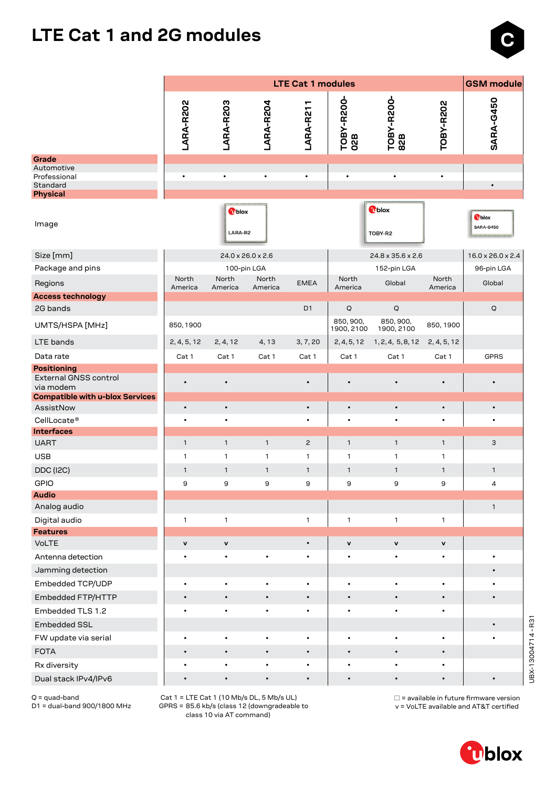### **LTE Cat 1 and 2G modules**



|                                                          | <b>GSM</b> module<br><b>LTE Cat 1 modules</b> |                          |                   |                |                           |                          |                  |                           |  |  |  |  |
|----------------------------------------------------------|-----------------------------------------------|--------------------------|-------------------|----------------|---------------------------|--------------------------|------------------|---------------------------|--|--|--|--|
|                                                          | LARA-R202                                     | LARA-R203                | LARA-R204         | LARA-R211      | <b>TOBY-R200-<br/>02B</b> | TOBY-R200-<br>82B        | TOBY-R202        | <b>SARA-G450</b>          |  |  |  |  |
|                                                          |                                               |                          |                   |                |                           |                          |                  |                           |  |  |  |  |
| Grade<br>Automotive                                      |                                               |                          |                   |                |                           |                          |                  |                           |  |  |  |  |
| Professional<br>Standard                                 | $\bullet$                                     | ٠                        | ٠                 | ٠              |                           |                          | $\bullet$        | $\bullet$                 |  |  |  |  |
| <b>Physical</b>                                          |                                               |                          |                   |                |                           |                          |                  |                           |  |  |  |  |
| Image                                                    |                                               | <b>T</b> blox<br>LARA-R2 |                   |                |                           | <b>T</b> blox<br>TOBY-R2 |                  | Oblox<br><b>SARA-G450</b> |  |  |  |  |
| Size [mm]                                                |                                               |                          | 24.0 x 26.0 x 2.6 |                |                           | 24.8 x 35.6 x 2.6        |                  | 16.0 x 26.0 x 2.4         |  |  |  |  |
| Package and pins                                         |                                               | 100-pin LGA              |                   |                |                           | 152-pin LGA              |                  | 96-pin LGA                |  |  |  |  |
| Regions                                                  | North<br>America                              | North<br>America         | North<br>America  | <b>EMEA</b>    | North<br>America          | Global                   | North<br>America | Global                    |  |  |  |  |
| <b>Access technology</b>                                 |                                               |                          |                   |                |                           |                          |                  |                           |  |  |  |  |
| 2G bands                                                 |                                               |                          |                   | D <sub>1</sub> | Q                         | Q                        |                  | Q                         |  |  |  |  |
| UMTS/HSPA [MHz]                                          | 850, 1900                                     |                          |                   |                | 850, 900,<br>1900, 2100   | 850, 900,<br>1900, 2100  | 850, 1900        |                           |  |  |  |  |
| LTE bands                                                | 2, 4, 5, 12                                   | 2, 4, 12                 | 4, 13             | 3, 7, 20       | 2, 4, 5, 12               | 1, 2, 4, 5, 8, 12        | 2, 4, 5, 12      |                           |  |  |  |  |
| Data rate                                                | Cat 1                                         | Cat 1                    | Cat 1             | Cat 1          | Cat 1                     | Cat 1                    | Cat 1            | GPRS                      |  |  |  |  |
| <b>Positioning</b><br>External GNSS control<br>via modem | $\bullet$                                     | $\bullet$                |                   |                |                           | $\bullet$                | $\bullet$        | $\bullet$                 |  |  |  |  |
| <b>Compatible with u-blox Services</b><br>AssistNow      | $\bullet$                                     | $\bullet$                |                   | $\bullet$      | $\bullet$                 | $\bullet$                | $\bullet$        | $\bullet$                 |  |  |  |  |
| CellLocate®                                              | ٠                                             | $\bullet$                |                   |                |                           | $\bullet$                | ٠                | ٠                         |  |  |  |  |
| <b>Interfaces</b>                                        |                                               |                          |                   |                |                           |                          |                  |                           |  |  |  |  |
| <b>UART</b>                                              | $\mathbf{1}$                                  | $\mathbf{1}$             | $\mathbf{1}$      | $\overline{c}$ | $\mathbf{1}$              | $\mathbf{1}$             | $\mathbf{1}$     | 3                         |  |  |  |  |
| <b>USB</b>                                               | $\mathbf{1}$                                  | $\mathbf{1}$             | $\mathbf{1}$      | $\mathbf{1}$   | 1                         | $\mathbf{1}$             | $\mathbf{1}$     |                           |  |  |  |  |
| <b>DDC (I2C)</b>                                         | $\mathbf{1}$                                  | $\mathbf{1}$             | $\mathbf{1}$      | $\mathbf{1}$   | $\mathbf{1}$              | $\mathbf{1}$             | $\mathbf{1}$     | $\mathbf{1}$              |  |  |  |  |
| <b>GPIO</b>                                              | 9                                             | 9                        | $\mathsf g$       | 9              | 9                         | 9                        | 9                | 4                         |  |  |  |  |
| <b>Audio</b>                                             |                                               |                          |                   |                |                           |                          |                  |                           |  |  |  |  |
| Analog audio                                             |                                               |                          |                   |                |                           |                          |                  | $\mathbf{1}$              |  |  |  |  |
| Digital audio<br><b>Features</b>                         | 1                                             | $\mathbf{1}$             |                   | $\mathbf{1}$   | 1                         | $\mathbf{1}$             | $\mathbf{1}$     |                           |  |  |  |  |
| <b>VoLTE</b>                                             | v                                             | $\mathsf{v}$             |                   |                | $\mathsf{v}$              | $\mathsf{v}$             | v                |                           |  |  |  |  |
| Antenna detection                                        | ٠                                             | $\bullet$                |                   |                |                           | $\bullet$                |                  | $\bullet$                 |  |  |  |  |
| Jamming detection                                        |                                               |                          |                   |                |                           |                          |                  |                           |  |  |  |  |
| Embedded TCP/UDP                                         |                                               | $\bullet$                |                   |                |                           |                          |                  |                           |  |  |  |  |
| Embedded FTP/HTTP                                        | $\bullet$                                     | $\bullet$                |                   | $\bullet$      | $\bullet$                 |                          | $\bullet$        | ٠                         |  |  |  |  |
| Embedded TLS 1.2                                         | $\bullet$                                     | $\bullet$                | $\bullet$         | $\bullet$      | $\bullet$                 | $\bullet$                | $\bullet$        |                           |  |  |  |  |
| Embedded SSL                                             |                                               |                          |                   |                |                           |                          |                  | ٠                         |  |  |  |  |
| FW update via serial                                     | $\bullet$                                     | $\bullet$                | $\bullet$         | $\bullet$      |                           | $\bullet$                | $\bullet$        | ٠                         |  |  |  |  |
| <b>FOTA</b>                                              | $\bullet$                                     | $\bullet$                | $\bullet$         | $\bullet$      | $\bullet$                 | $\bullet$                | $\bullet$        |                           |  |  |  |  |
| Rx diversity                                             | $\bullet$                                     | $\bullet$                | $\bullet$         | ٠              | ٠                         | $\bullet$                | ٠                |                           |  |  |  |  |
| Dual stack IPv4/IPv6                                     | $\bullet$                                     | $\bullet$                | $\bullet$         | $\bullet$      | $\bullet$                 | $\bullet$                | $\bullet$        | ٠                         |  |  |  |  |

Q = quad-band

D1 = dual-band 900/1800 MHz

Cat 1 = LTE Cat 1 (10 Mb/s DL, 5 Mb/s UL)

 GPRS = 85.6 kb/s (class 12 (downgradeable to class 10 via AT command)

 $\square$  = available in future firmware version v = VoLTE available and AT&T certified